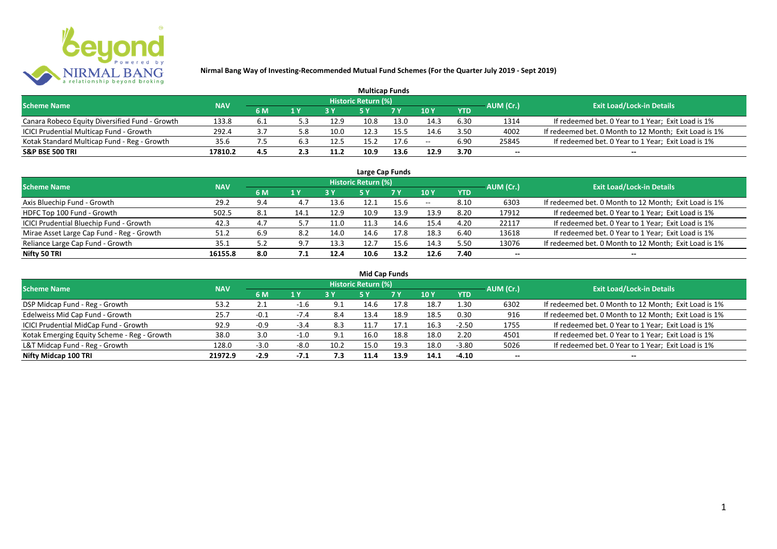

| <b>Multicap Funds</b>                          |            |     |     |      |                     |            |                 |            |           |                                                       |  |  |  |
|------------------------------------------------|------------|-----|-----|------|---------------------|------------|-----------------|------------|-----------|-------------------------------------------------------|--|--|--|
| <b>Scheme Name</b>                             | <b>NAV</b> |     |     |      | Historic Return (%) |            |                 |            | AUM (Cr.) | <b>Exit Load/Lock-in Details</b>                      |  |  |  |
|                                                |            | 6 M | 1 Y | 2V   |                     | <b>7 V</b> | 10 <sub>Y</sub> | <b>YTD</b> |           |                                                       |  |  |  |
| Canara Robeco Equity Diversified Fund - Growth | 133.8      | 6.1 |     | 12.9 | 10.8                | 13.0       | 14.3            | 6.30       | 1314      | If redeemed bet. 0 Year to 1 Year; Exit Load is 1%    |  |  |  |
| ICICI Prudential Multicap Fund - Growth        | 292.4      | 3.7 | .8د | 10.0 | 12.3                |            | 14.6            | 3.50       | 4002      | If redeemed bet. 0 Month to 12 Month; Exit Load is 1% |  |  |  |
| Kotak Standard Multicap Fund - Reg - Growth    | 35.6       |     | 6.3 | 12.5 | 15.2                | 17.6       | $- -$           | 6.90       | 25845     | If redeemed bet. 0 Year to 1 Year; Exit Load is 1%    |  |  |  |
| <b>S&amp;P BSE 500 TRI</b>                     | 17810.2    | 4.5 | 2.3 | 11.2 | 10.9                | 13.6       | 12.9            | 3.70       | $- -$     | $- -$                                                 |  |  |  |

| Large Cap Funds                           |            |     |      |      |                            |      |       |            |           |                                                       |  |  |  |  |
|-------------------------------------------|------------|-----|------|------|----------------------------|------|-------|------------|-----------|-------------------------------------------------------|--|--|--|--|
| <b>Scheme Name</b>                        | <b>NAV</b> |     |      |      | <b>Historic Return (%)</b> |      |       |            | AUM (Cr.) | <b>Exit Load/Lock-in Details</b>                      |  |  |  |  |
|                                           |            | 6 M | 1 Y  |      | <b>5Y</b>                  | 7 Y  | 10Y   | <b>YTD</b> |           |                                                       |  |  |  |  |
| Axis Bluechip Fund - Growth               | 29.2       | 9.4 | 4.7  | 13.6 | 12.1                       | 15.6 | $- -$ | 8.10       | 6303      | If redeemed bet. 0 Month to 12 Month; Exit Load is 1% |  |  |  |  |
| HDFC Top 100 Fund - Growth                | 502.5      | 8.1 | 14.1 | 12.9 | 10.9                       | 13.9 | 13.9  | 8.20       | 17912     | If redeemed bet. 0 Year to 1 Year; Exit Load is 1%    |  |  |  |  |
| ICICI Prudential Bluechip Fund - Growth   | 42.3       | 4.7 |      | 11.0 | 11.3                       | 14.6 | 15.4  | 4.20       | 22117     | If redeemed bet. 0 Year to 1 Year; Exit Load is 1%    |  |  |  |  |
| Mirae Asset Large Cap Fund - Reg - Growth | 51.2       | 6.9 | 8.2  | 14.0 | 14.6                       | 17.8 | 18.3  | 6.40       | 13618     | If redeemed bet. 0 Year to 1 Year; Exit Load is 1%    |  |  |  |  |
| Reliance Large Cap Fund - Growth          | 35.1       | 5.2 | 9.7  | 13.3 | 12.7                       | 15.6 | 14.3  | 5.50       | 13076     | If redeemed bet. 0 Month to 12 Month; Exit Load is 1% |  |  |  |  |
| Nifty 50 TRI                              | 16155.8    | 8.0 | 7.1  | 12.4 | 10.6                       | 13.2 | 12.6  | 7.40       |           | --                                                    |  |  |  |  |

| <b>Mid Cap Funds</b>                        |            |        |             |      |                            |      |      |            |                          |                                                       |  |  |  |  |
|---------------------------------------------|------------|--------|-------------|------|----------------------------|------|------|------------|--------------------------|-------------------------------------------------------|--|--|--|--|
| <b>Scheme Name</b>                          | <b>NAV</b> |        |             |      | <b>Historic Return (%)</b> |      |      |            | AUM (Cr.)                | <b>Exit Load/Lock-in Details</b>                      |  |  |  |  |
|                                             |            | 6 M    | 1 Y         |      | 5 Y                        | 7 Y  | 10Y  | <b>YTD</b> |                          |                                                       |  |  |  |  |
| DSP Midcap Fund - Reg - Growth              | 53.2       | 2.1    | -1.6        | -9.1 | 14.6                       | 17.8 | 18.7 | 1.30       | 6302                     | If redeemed bet. 0 Month to 12 Month; Exit Load is 1% |  |  |  |  |
| Edelweiss Mid Cap Fund - Growth             | 25.7       | $-0.1$ | $-7.4$      | 8.4  | 13.4                       | 18.9 | 18.5 | 0.30       | 916                      | If redeemed bet. 0 Month to 12 Month; Exit Load is 1% |  |  |  |  |
| ICICI Prudential MidCap Fund - Growth       | 92.9       | $-0.9$ | $-3.4$      | 8.3  | .1.7                       | 17.1 | 16.3 | $-2.50$    | 1755                     | If redeemed bet. 0 Year to 1 Year; Exit Load is 1%    |  |  |  |  |
| Kotak Emerging Equity Scheme - Reg - Growth | 38.0       | 3.0    | $\cdot 1.0$ | -9.1 | 16.0                       | 18.8 | 18.0 | 2.20       | 4501                     | If redeemed bet. 0 Year to 1 Year; Exit Load is 1%    |  |  |  |  |
| L&T Midcap Fund - Reg - Growth              | 128.0      | $-3.0$ | $-8.0$      | 10.2 | 15.0                       | 19.3 | 18.0 | $-3.80$    | 5026                     | If redeemed bet. 0 Year to 1 Year; Exit Load is 1%    |  |  |  |  |
| Nifty Midcap 100 TRI                        | 21972.9    | $-2.9$ | $-7.1$      | 7.3  | 11.4                       | 13.9 | 14.1 | $-4.10$    | $\overline{\phantom{a}}$ | $- -$                                                 |  |  |  |  |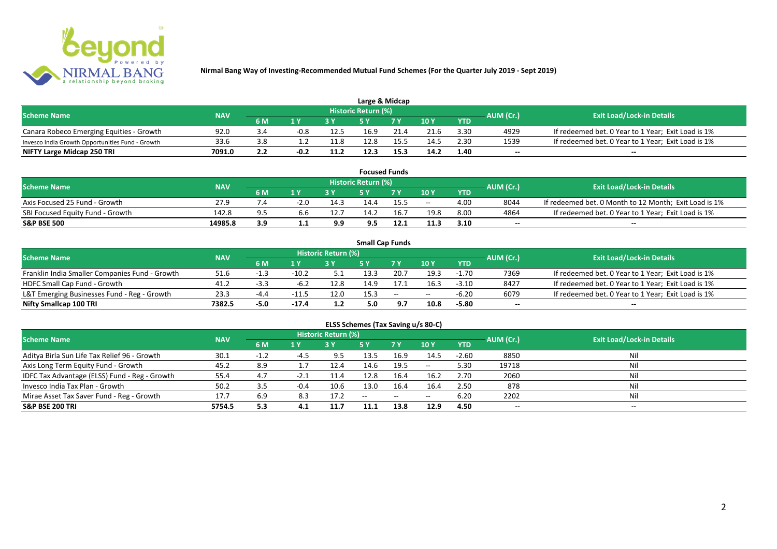

| Large & Midcap                                   |            |            |                         |      |                            |      |      |            |           |                                                    |  |  |  |
|--------------------------------------------------|------------|------------|-------------------------|------|----------------------------|------|------|------------|-----------|----------------------------------------------------|--|--|--|
| <b>Scheme Name</b>                               | <b>NAV</b> |            |                         |      | <b>Historic Return (%)</b> |      |      |            | AUM (Cr.) | <b>Exit Load/Lock-in Details</b>                   |  |  |  |
|                                                  |            | 6 M        | $\mathbf{A} \mathbf{V}$ |      |                            | 7 V  | 10Y  | <b>YTD</b> |           |                                                    |  |  |  |
| Canara Robeco Emerging Equities - Growth         | 92.0       | -3.4       | $-0.8$                  | 12.5 | 16.9                       | 21.4 | 21.6 | 3.30       | 4929      | If redeemed bet. 0 Year to 1 Year; Exit Load is 1% |  |  |  |
| Invesco India Growth Opportunities Fund - Growth | 33.6       |            |                         | 11.8 | 12.8                       |      | 14.5 | 2.30       | 1539      | If redeemed bet. 0 Year to 1 Year; Exit Load is 1% |  |  |  |
| NIFTY Large Midcap 250 TRI                       | 7091.0     | າ າ<br>L.L | $-0.2$                  | 11.2 | 12.3                       | 15.3 | 14.2 | 1.40       | $- -$     | $- -$                                              |  |  |  |

| <b>Focused Funds</b>             |            |       |        |      |                     |      |       |            |           |                                                       |  |  |  |
|----------------------------------|------------|-------|--------|------|---------------------|------|-------|------------|-----------|-------------------------------------------------------|--|--|--|
| <b>Scheme Name</b>               | <b>NAV</b> |       |        |      | Historic Return (%) |      |       |            | AUM (Cr.) | <b>Exit Load/Lock-in Details</b>                      |  |  |  |
|                                  |            | 6 M   | 1 V    |      | cν                  | 7 V  | 10 Y  | <b>YTD</b> |           |                                                       |  |  |  |
| Axis Focused 25 Fund - Growth    | 27.9       |       | $-2.0$ | 14.5 | 14.4                | 15.5 | $- -$ | 4.00       | 8044      | If redeemed bet. 0 Month to 12 Month; Exit Load is 1% |  |  |  |
| SBI Focused Equity Fund - Growth | 142.8      | $Q$ 5 |        | 12.7 | 14.2                | 16.  | 19.8  | 8.00       | 4864      | If redeemed bet. 0 Year to 1 Year; Exit Load is 1%    |  |  |  |
| <b>S&amp;P BSE 500</b>           | 14985.8    | 3.9   |        | 9.9  | 9.5                 |      | 11.3  | 3.10       | $- -$     | $- -$                                                 |  |  |  |

|                                                |            |        |         |                     |      | <b>Small Cap Funds</b>                         |       |            |           |                                                    |
|------------------------------------------------|------------|--------|---------|---------------------|------|------------------------------------------------|-------|------------|-----------|----------------------------------------------------|
| <b>Scheme Name</b>                             | <b>NAV</b> |        |         | Historic Return (%) |      |                                                |       |            | AUM (Cr.) | <b>Exit Load/Lock-in Details</b>                   |
|                                                |            | 6 M    |         |                     |      |                                                | 10Y   | <b>YTD</b> |           |                                                    |
| Franklin India Smaller Companies Fund - Growth | 51.6       | -1.3   | $-10.2$ | - 5                 | 13.3 | 20.7                                           | 19.3  | $-1.70$    | 7369      | If redeemed bet. 0 Year to 1 Year; Exit Load is 1% |
| HDFC Small Cap Fund - Growth                   | 41.2       | -3.3   | $-6.2$  | 12.8                | 14.9 | 17.1                                           | 16.3  | $-3.10$    | 8427      | If redeemed bet. 0 Year to 1 Year; Exit Load is 1% |
| L&T Emerging Businesses Fund - Reg - Growth    | 23.3       | -4.4   | $-11.5$ | 12.0                | 15.3 | $\hspace{0.1mm}-\hspace{0.1mm}-\hspace{0.1mm}$ | $- -$ | $-6.20$    | 6079      | If redeemed bet. 0 Year to 1 Year; Exit Load is 1% |
| Nifty Smallcap 100 TRI                         | 7382.5     | $-5.0$ | $-17.4$ | 1.2                 | 5.0  |                                                | 10.8  | $-5.80$    | $- -$     | $- -$                                              |

# **ELSS Schemes (Tax Saving u/s 80-C)**

| <b>Scheme Name</b>                            | <b>NAV</b> |        |        | <b>Historic Return (%)</b> |       |      |         |            | AUM (Cr.)                | <b>Exit Load/Lock-in Details</b> |
|-----------------------------------------------|------------|--------|--------|----------------------------|-------|------|---------|------------|--------------------------|----------------------------------|
|                                               |            | 6 M    | 1 Y    |                            | 5 Y   | 7Y   | 10Y     | <b>YTD</b> |                          |                                  |
| Aditya Birla Sun Life Tax Relief 96 - Growth  | 30.1       | $-1.2$ | -4.5   | 9.5                        | 13.5  | 16.9 | 14.5    | $-2.60$    | 8850                     | Nil                              |
| Axis Long Term Equity Fund - Growth           | 45.2       | 8.9    |        | 12.4                       | 14.6  | 19.5 | $-  \,$ | 5.30       | 19718                    |                                  |
| IDFC Tax Advantage (ELSS) Fund - Reg - Growth | 55.4       | 4.7    | -2.1   | 11.4                       | 12.8  | 16.4 | 16.2    | 2.70       | 2060                     |                                  |
| Invesco India Tax Plan - Growth               | 50.2       | 3.5    | $-0.4$ | 10.6                       | 13.0  | 16.4 | 16.4    | 2.50       | 878                      |                                  |
| Mirae Asset Tax Saver Fund - Reg - Growth     | 17.7       | 6.9    | 8.3    | 17.2                       | $- -$ | --   | $- -$   | 6.20       | 2202                     |                                  |
| <b>S&amp;P BSE 200 TRI</b>                    | 5754.5     | 5.3    | 4.1    | 11.7                       | 11.1  | 13.8 | 12.9    | 4.50       | $\overline{\phantom{a}}$ | $\overline{\phantom{a}}$         |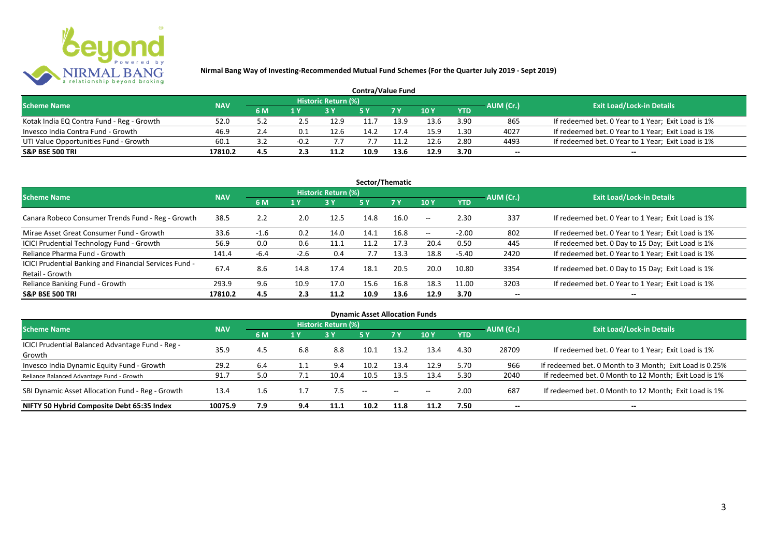

| <b>Contra/Value Fund</b>                  |            |           |     |                     |      |      |      |            |           |                                                    |  |  |  |
|-------------------------------------------|------------|-----------|-----|---------------------|------|------|------|------------|-----------|----------------------------------------------------|--|--|--|
| <b>Scheme Name</b>                        | <b>NAV</b> |           |     | Historic Return (%) |      |      |      |            | AUM (Cr.) | <b>Exit Load/Lock-in Details</b>                   |  |  |  |
|                                           |            | <b>6M</b> | 1 Y |                     |      | 7 Y  | 10Y  | <b>YTD</b> |           |                                                    |  |  |  |
| Kotak India EQ Contra Fund - Reg - Growth | 52.0       | ے.د       |     | 12.9                | 11.7 | 13.9 | 13.6 | 3.90       | 865       | If redeemed bet. 0 Year to 1 Year; Exit Load is 1% |  |  |  |
| Invesco India Contra Fund - Growth        | 46.9       | 2.4       |     | 12.6                | 14.7 |      | 15.9 | 1.30       | 4027      | If redeemed bet. 0 Year to 1 Year; Exit Load is 1% |  |  |  |
| UTI Value Opportunities Fund - Growth     | 60.1       | ے. ک      |     |                     |      | 1.2  | 12.6 | 2.80       | 4493      | If redeemed bet. 0 Year to 1 Year; Exit Load is 1% |  |  |  |
| <b>S&amp;P BSE 500 TRI</b>                | 17810.2    | 4.5       |     | 11.2                | 10.9 |      | 12.9 | 3.70       | --        | $- -$                                              |  |  |  |

| Sector/Thematic                                                           |            |        |        |                            |      |           |               |            |           |                                                    |  |  |  |
|---------------------------------------------------------------------------|------------|--------|--------|----------------------------|------|-----------|---------------|------------|-----------|----------------------------------------------------|--|--|--|
| <b>Scheme Name</b>                                                        | <b>NAV</b> |        |        | <b>Historic Return (%)</b> |      |           |               |            | AUM (Cr.) | <b>Exit Load/Lock-in Details</b>                   |  |  |  |
|                                                                           |            | 6 M    | 1 Y    | <b>3 Y</b>                 | 5Y   | <b>7Y</b> | 10Y           | <b>YTD</b> |           |                                                    |  |  |  |
| Canara Robeco Consumer Trends Fund - Reg - Growth                         | 38.5       | 2.2    | 2.0    | 12.5                       | 14.8 | 16.0      | $-  \,$       | 2.30       | 337       | If redeemed bet. 0 Year to 1 Year; Exit Load is 1% |  |  |  |
| Mirae Asset Great Consumer Fund - Growth                                  | 33.6       | $-1.6$ | 0.2    | 14.0                       | 14.1 | 16.8      | $\sim$ $\sim$ | $-2.00$    | 802       | If redeemed bet. 0 Year to 1 Year; Exit Load is 1% |  |  |  |
| ICICI Prudential Technology Fund - Growth                                 | 56.9       | 0.0    | 0.6    | 11.1                       | 11.2 | 17.3      | 20.4          | 0.50       | 445       | If redeemed bet. 0 Day to 15 Day; Exit Load is 1%  |  |  |  |
| Reliance Pharma Fund - Growth                                             | 141.4      | $-6.4$ | $-2.6$ | 0.4                        | 7.7  | 13.3      | 18.8          | -5.40      | 2420      | If redeemed bet. 0 Year to 1 Year; Exit Load is 1% |  |  |  |
| ICICI Prudential Banking and Financial Services Fund -<br>Retail - Growth | 67.4       | 8.6    | 14.8   | 17.4                       | 18.1 | 20.5      | 20.0          | 10.80      | 3354      | If redeemed bet. 0 Day to 15 Day; Exit Load is 1%  |  |  |  |
| Reliance Banking Fund - Growth                                            | 293.9      | 9.6    | 10.9   | 17.0                       | 15.6 | 16.8      | 18.3          | 11.00      | 3203      | If redeemed bet. 0 Year to 1 Year; Exit Load is 1% |  |  |  |
| <b>S&amp;P BSE 500 TRI</b>                                                | 17810.2    | 4.5    | 2.3    | 11.2                       | 10.9 | 13.6      | 12.9          | 3.70       | --        | $- -$                                              |  |  |  |

| <b>Dynamic Asset Allocation Funds</b>            |            |     |     |                            |               |               |       |            |                          |                                                         |  |  |  |
|--------------------------------------------------|------------|-----|-----|----------------------------|---------------|---------------|-------|------------|--------------------------|---------------------------------------------------------|--|--|--|
| <b>Scheme Name</b>                               | <b>NAV</b> |     |     | <b>Historic Return (%)</b> |               |               |       |            | AUM (Cr.)                | <b>Exit Load/Lock-in Details</b>                        |  |  |  |
|                                                  |            | 6 M | 1 Y | 3 Y                        | 5 Y           | 7Y            | 10Y   | <b>YTD</b> |                          |                                                         |  |  |  |
| ICICI Prudential Balanced Advantage Fund - Reg - | 35.9       | 4.5 | 6.8 | 8.8                        | 10.1          |               |       | 4.30       |                          |                                                         |  |  |  |
| Growth                                           |            |     |     |                            |               | 13.2          | 13.4  |            | 28709                    | If redeemed bet. 0 Year to 1 Year; Exit Load is 1%      |  |  |  |
| Invesco India Dynamic Equity Fund - Growth       | 29.2       | 6.4 |     | 9.4                        | 10.2          | 13.4          | 12.9  | 5.70       | 966                      | If redeemed bet. 0 Month to 3 Month; Exit Load is 0.25% |  |  |  |
| Reliance Balanced Advantage Fund - Growth        | 91.7       | 5.0 |     | 10.4                       | 10.5          | 13.5          | 13.4  | 5.30       | 2040                     | If redeemed bet. 0 Month to 12 Month; Exit Load is 1%   |  |  |  |
| SBI Dynamic Asset Allocation Fund - Reg - Growth | 13.4       | 1.6 |     | 7.5                        | $\sim$ $\sim$ | $\sim$ $\sim$ | $- -$ | 2.00       | 687                      | If redeemed bet. 0 Month to 12 Month; Exit Load is 1%   |  |  |  |
| NIFTY 50 Hybrid Composite Debt 65:35 Index       | 10075.9    | 7.9 | 9.4 | 11.1                       | 10.2          | 11.8          | 11.2  | 7.50       | $\overline{\phantom{a}}$ | $- -$                                                   |  |  |  |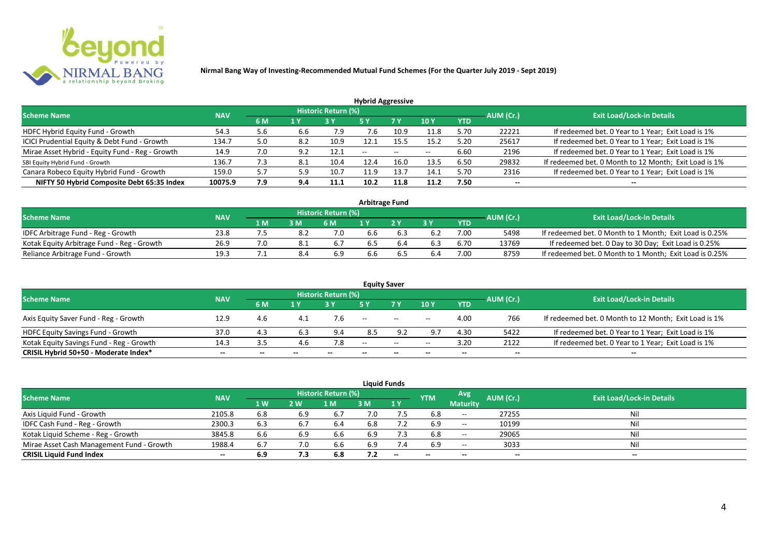

| <b>Hybrid Aggressive</b>                        |            |     |                         |                     |       |                          |       |            |           |                                                       |  |  |  |
|-------------------------------------------------|------------|-----|-------------------------|---------------------|-------|--------------------------|-------|------------|-----------|-------------------------------------------------------|--|--|--|
| <b>Scheme Name</b>                              | <b>NAV</b> |     |                         | Historic Return (%) |       |                          |       |            | AUM (Cr.) | <b>Exit Load/Lock-in Details</b>                      |  |  |  |
|                                                 |            | 6 M | $\mathbf{1} \mathbf{V}$ |                     | '5 Y  | 7 Y                      | 10Y   | <b>YTD</b> |           |                                                       |  |  |  |
| HDFC Hybrid Equity Fund - Growth                | 54.3       | 5.6 | 6.6                     | 7.9                 | 7.6   | 10.9                     | 11.8  | 5.70       | 22221     | If redeemed bet. 0 Year to 1 Year; Exit Load is 1%    |  |  |  |
| ICICI Prudential Equity & Debt Fund - Growth    | 134.7      | 5.0 | 8.2                     | 10.9                | 12.1  | 15.5                     | 15.2  | 5.20       | 25617     | If redeemed bet. 0 Year to 1 Year; Exit Load is 1%    |  |  |  |
| Mirae Asset Hybrid - Equity Fund - Reg - Growth | 14.9       | 7.0 | 9.2                     | 12.1                | $- -$ | $\overline{\phantom{m}}$ | $- -$ | 6.60       | 2196      | If redeemed bet. 0 Year to 1 Year; Exit Load is 1%    |  |  |  |
| SBI Equity Hybrid Fund - Growth                 | 136.7      | 7.3 | 8.1                     | 10.4                | 12.4  | 16.C                     | 13.5  | 6.50       | 29832     | If redeemed bet. 0 Month to 12 Month; Exit Load is 1% |  |  |  |
| Canara Robeco Equity Hybrid Fund - Growth       | 159.0      | 5.7 | 5.9                     | 10.7                | 11.9  | 13.T                     | 14.1  | 5.70       | 2316      | If redeemed bet. 0 Year to 1 Year; Exit Load is 1%    |  |  |  |
| NIFTY 50 Hybrid Composite Debt 65:35 Index      | 10075.9    | 7.9 | 9.4                     | 11.1                | 10.2  | 11.8                     | 11.2  | 7.50       | $- -$     | $- -$                                                 |  |  |  |

| Arbitrage Fund                             |            |     |     |                            |     |    |     |            |           |                                                         |  |  |  |
|--------------------------------------------|------------|-----|-----|----------------------------|-----|----|-----|------------|-----------|---------------------------------------------------------|--|--|--|
| <b>Scheme Name</b>                         | <b>NAV</b> |     |     | <b>Historic Return (%)</b> |     |    |     |            | AUM (Cr.) | <b>Exit Load/Lock-in Details</b>                        |  |  |  |
|                                            |            | 1 M | 3 M | 6 M                        |     | 2V | эv  | <b>YTD</b> |           |                                                         |  |  |  |
| IDFC Arbitrage Fund - Reg - Growth         | 23.8       |     |     | 7.0                        | 6.6 |    |     | 7.00       | 5498      | If redeemed bet. 0 Month to 1 Month; Exit Load is 0.25% |  |  |  |
| Kotak Equity Arbitrage Fund - Reg - Growth | 26.9       |     |     | 6.,                        |     |    |     | 6.70       | 13769     | If redeemed bet. 0 Day to 30 Day; Exit Load is 0.25%    |  |  |  |
| Reliance Arbitrage Fund - Growth           | 19.3       |     | 8.4 | 6.9                        | 6.6 |    | b.4 | 7.00       | 8759      | If redeemed bet. 0 Month to 1 Month; Exit Load is 0.25% |  |  |  |

|                                          |            |     |     |                     |       | <b>Equity Saver</b>                   |            |            |           |                                                       |
|------------------------------------------|------------|-----|-----|---------------------|-------|---------------------------------------|------------|------------|-----------|-------------------------------------------------------|
| <b>Scheme Name</b>                       | <b>NAV</b> |     |     | Historic Return (%) |       |                                       |            |            |           | <b>Exit Load/Lock-in Details</b>                      |
|                                          |            | 6 M | 1 Y |                     |       | 7 <sub>V</sub>                        | 10Y        | <b>YTD</b> | AUM (Cr.) |                                                       |
| Axis Equity Saver Fund - Reg - Growth    | 12.9       | 4.6 |     |                     | $- -$ | $\hspace{0.05cm}$ – $\hspace{0.05cm}$ | $- -$      | 4.00       | 766       | If redeemed bet. 0 Month to 12 Month; Exit Load is 1% |
| HDFC Equity Savings Fund - Growth        | 37.0       | 4.3 |     | 9.4                 | 8.5   | 9.2                                   | $\alpha$ – | 4.30       | 5422      | If redeemed bet. 0 Year to 1 Year; Exit Load is 1%    |
| Kotak Equity Savings Fund - Reg - Growth | 14.3       | 3.5 | 4.6 |                     | $-$   | $\sim$                                | $- -$      | 3.20       | 2122      | If redeemed bet. 0 Year to 1 Year; Exit Load is 1%    |
| CRISIL Hybrid 50+50 - Moderate Index*    | $- -$      | --  |     |                     | --    | $- -$                                 |            | --         | --        | $- -$                                                 |

|                                           |            |           |     |                     |     | <b>Liquid Funds</b>      |            |                          |           |                                  |
|-------------------------------------------|------------|-----------|-----|---------------------|-----|--------------------------|------------|--------------------------|-----------|----------------------------------|
| <b>Scheme Name</b>                        | <b>NAV</b> |           |     | Historic Return (%) |     |                          | <b>YTM</b> | Avg                      | AUM (Cr.) | <b>Exit Load/Lock-in Details</b> |
|                                           |            | <b>1W</b> | 2 W | M                   | 3 M | 1Y                       |            | <b>Maturity</b>          |           |                                  |
| Axis Liquid Fund - Growth                 | 2105.8     | 6.8       | 6.9 | 6.7                 | 7.0 |                          | 6.8        | $\overline{\phantom{a}}$ | 27255     | Nil                              |
| IDFC Cash Fund - Reg - Growth             | 2300.3     | 6.3       |     | -6.4                | 6.8 | 7.2                      | 6.9        | $\overline{\phantom{a}}$ | 10199     | Nil                              |
| Kotak Liquid Scheme - Reg - Growth        | 3845.8     | 6.6       | 6.9 | 6.6                 | 6.9 | 7.3                      | 6.8        | $- -$                    | 29065     | Nil                              |
| Mirae Asset Cash Management Fund - Growth | 1988.4     | 6.7       |     | 6.6                 | 6.9 | 7.4                      | 6.9        | $- -$                    | 3033      | Nil                              |
| <b>CRISIL Liquid Fund Index</b>           | $- -$      | 6.9       | 7.3 | 6.8                 | 7.2 | $\overline{\phantom{a}}$ | $- -$      | $- -$                    | $- -$     | $- -$                            |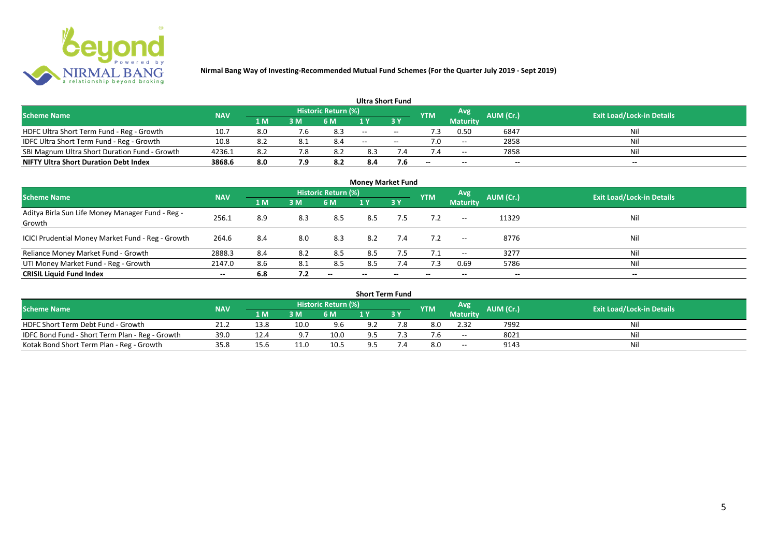

|                                               |            |      |     |                            | <b>Ultra Short Fund</b>  |        |            |                 |           |                                  |
|-----------------------------------------------|------------|------|-----|----------------------------|--------------------------|--------|------------|-----------------|-----------|----------------------------------|
| <b>Scheme Name</b>                            | <b>NAV</b> |      |     | <b>Historic Return (%)</b> |                          |        | <b>YTM</b> | Avg             | AUM (Cr.) | <b>Exit Load/Lock-in Details</b> |
|                                               |            | 1 M  | 3 M | 6 M                        | 1 Y                      |        |            | <b>Maturity</b> |           |                                  |
| HDFC Ultra Short Term Fund - Reg - Growth     | 10.7       | 8.0  |     | 8.3                        | $\sim$                   | $\sim$ |            | 0.50            | 6847      | Nil                              |
| IDFC Ultra Short Term Fund - Reg - Growth     | 10.8       | -8.2 | 8.1 | 8.4                        | $\overline{\phantom{a}}$ | $- -$  |            | $-$             | 2858      | Nil                              |
| SBI Magnum Ultra Short Duration Fund - Growth | 4236.1     | 8.2  | 7.8 |                            | 8.3                      |        |            | $- -$           | 7858      | Nil                              |
| <b>NIFTY Ultra Short Duration Debt Index</b>  | 3868.6     | 8.0  | 7.9 | 8.2                        | 8.4                      | 7.6    | --         | $-$             | $- -$     | $- -$                            |

| <b>Money Market Fund</b>                                   |            |     |     |                            |       |                          |            |                          |           |                                  |  |  |  |  |
|------------------------------------------------------------|------------|-----|-----|----------------------------|-------|--------------------------|------------|--------------------------|-----------|----------------------------------|--|--|--|--|
| <b>Scheme Name</b>                                         | <b>NAV</b> |     |     | <b>Historic Return (%)</b> |       |                          | <b>YTM</b> | <b>Avg</b>               | AUM (Cr.) | <b>Exit Load/Lock-in Details</b> |  |  |  |  |
|                                                            |            | 1 M | 3 M | 6 M                        | 1 Y   | 3Y                       |            | <b>Maturity</b>          |           |                                  |  |  |  |  |
| Aditya Birla Sun Life Money Manager Fund - Reg -<br>Growth | 256.1      | 8.9 | 8.3 | 8.5                        | 8.5   | 7.5                      | 7.2        | $\hspace{0.05cm}$        | 11329     | Nil                              |  |  |  |  |
| ICICI Prudential Money Market Fund - Reg - Growth          | 264.6      | 8.4 | 8.0 | 8.3                        | 8.2   | 7.4                      | 7.2        | $\overline{\phantom{a}}$ | 8776      | Nil                              |  |  |  |  |
| Reliance Money Market Fund - Growth                        | 2888.3     | 8.4 | 8.2 | 8.5                        | 8.5   | 7.5                      |            | $\hspace{0.05cm}$        | 3277      | Nil                              |  |  |  |  |
| UTI Money Market Fund - Reg - Growth                       | 2147.0     | 8.6 | 8.1 | 8.5                        | 8.5   | 7.4                      | 7.3        | 0.69                     | 5786      | Nil                              |  |  |  |  |
| <b>CRISIL Liquid Fund Index</b>                            | $- -$      | 6.8 | 7.2 | $- -$                      | $- -$ | $\overline{\phantom{a}}$ |            | $\overline{\phantom{a}}$ |           | $- -$                            |  |  |  |  |

| <b>Short Term Fund</b>                          |            |      |                |                            |     |     |            |                          |           |                                  |  |  |  |  |
|-------------------------------------------------|------------|------|----------------|----------------------------|-----|-----|------------|--------------------------|-----------|----------------------------------|--|--|--|--|
| <b>Scheme Name</b>                              | <b>NAV</b> |      |                | <b>Historic Return (%)</b> |     |     | <b>YTM</b> | Avg                      | AUM (Cr.) | <b>Exit Load/Lock-in Details</b> |  |  |  |  |
|                                                 |            | 1 M  | 3 <sub>M</sub> | 6 M                        |     | 3Y  |            | <b>Maturity</b>          |           |                                  |  |  |  |  |
| HDFC Short Term Debt Fund - Growth              | 21.2       | 13.8 | 10.0           | 9.6                        | 9.2 | 7.8 | 8.0        | 2.32                     | 7992      | Nil                              |  |  |  |  |
| IDFC Bond Fund - Short Term Plan - Reg - Growth | 39.0       | 12.4 | ດ ສ            | 10.0                       | 9.5 |     |            | $\overline{\phantom{a}}$ | 8021      | Nil                              |  |  |  |  |
| Kotak Bond Short Term Plan - Reg - Growth       | 35.8       | 15.6 | 11.0           | 10.5                       | 9.5 |     | 8.0        | $- -$                    | 9143      | Nil                              |  |  |  |  |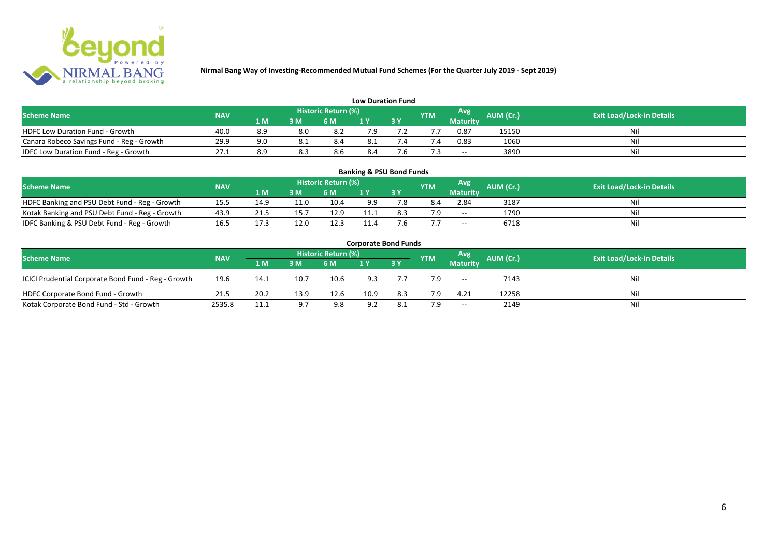

| <b>Low Duration Fund</b>                  |            |     |     |                            |     |      |            |                 |                  |                                  |  |  |  |  |
|-------------------------------------------|------------|-----|-----|----------------------------|-----|------|------------|-----------------|------------------|----------------------------------|--|--|--|--|
| <b>Scheme Name</b>                        | <b>NAV</b> |     |     | <b>Historic Return (%)</b> |     |      | <b>YTM</b> | Avg             | <b>AUM (Cr.)</b> | <b>Exit Load/Lock-in Details</b> |  |  |  |  |
|                                           |            | 1 M | 3 M | 6 M                        | 1 Y |      |            | <b>Maturity</b> |                  |                                  |  |  |  |  |
| <b>HDFC Low Duration Fund - Growth</b>    | 40.0       | 8.9 | 8.0 |                            | 7.9 |      |            | 0.87            | 15150            | Nil                              |  |  |  |  |
| Canara Robeco Savings Fund - Reg - Growth | 29.9       | 9.0 |     | 8.4                        | 8.1 |      |            | 0.83            | 1060             | Nil                              |  |  |  |  |
| IDFC Low Duration Fund - Reg - Growth     | 27.1       | 8.9 | 8.3 | 8.b                        | 8.4 | ס. י |            | $- -$           | 3890             | Nil                              |  |  |  |  |

| <b>Banking &amp; PSU Bond Funds</b>            |                                                                                                                                                    |      |      |      |      |    |     |                 |      |    |  |  |  |  |  |
|------------------------------------------------|----------------------------------------------------------------------------------------------------------------------------------------------------|------|------|------|------|----|-----|-----------------|------|----|--|--|--|--|--|
|                                                | <b>Historic Return (%)</b><br><b>Avg</b><br><b>AUM (Cr.)</b><br><b>Exit Load/Lock-in Details</b><br><b>NAV</b><br><b>Scheme Name</b><br><b>YTM</b> |      |      |      |      |    |     |                 |      |    |  |  |  |  |  |
|                                                |                                                                                                                                                    | 1 M  | 3 M  | 6 M  |      | 3Y |     | <b>Maturity</b> |      |    |  |  |  |  |  |
| HDFC Banking and PSU Debt Fund - Reg - Growth  | 15.5                                                                                                                                               |      | 11.0 | 10.4 | 9.9  |    | 8.4 | 2.84            | 3187 | Ni |  |  |  |  |  |
| Kotak Banking and PSU Debt Fund - Reg - Growth | 43.9                                                                                                                                               |      | L5., | 12.9 | 11.1 |    | 7 Q | $ -$            | 1790 | Ni |  |  |  |  |  |
| IDFC Banking & PSU Debt Fund - Reg - Growth    | 16.5                                                                                                                                               | 17.3 | 12.0 | 12.3 | 11.4 |    |     | $- -$           | 6718 | Ni |  |  |  |  |  |

| <b>Corporate Bond Funds</b>                                                                                                   |        |                |                |      |      |           |     |                          |       |     |  |  |  |  |
|-------------------------------------------------------------------------------------------------------------------------------|--------|----------------|----------------|------|------|-----------|-----|--------------------------|-------|-----|--|--|--|--|
| Historic Return (%)<br>Avg<br>AUM (Cr.)<br><b>Exit Load/Lock-in Details</b><br><b>Scheme Name</b><br><b>NAV</b><br><b>YTM</b> |        |                |                |      |      |           |     |                          |       |     |  |  |  |  |
|                                                                                                                               |        | 1 <sub>M</sub> | 3 <sub>M</sub> | 6 M  |      | <b>3Y</b> |     | <b>Maturity</b>          |       |     |  |  |  |  |
| ICICI Prudential Corporate Bond Fund - Reg - Growth                                                                           | 19.6   | 14.1           | 10.7           | 10.6 | 9.3  |           | 7.9 | $\overline{\phantom{a}}$ | 7143  | Nil |  |  |  |  |
| HDFC Corporate Bond Fund - Growth                                                                                             | 21.5   | 20.2           | 13.9           | 12.6 | 10.9 | 8.3       | 7.9 | 4.21                     | 12258 | Nil |  |  |  |  |
| Kotak Corporate Bond Fund - Std - Growth                                                                                      | 2535.8 | 11.1           | 97             | 9.8  | 9.2  | 8.1       | 7.9 | $\sim$                   | 2149  | Nil |  |  |  |  |